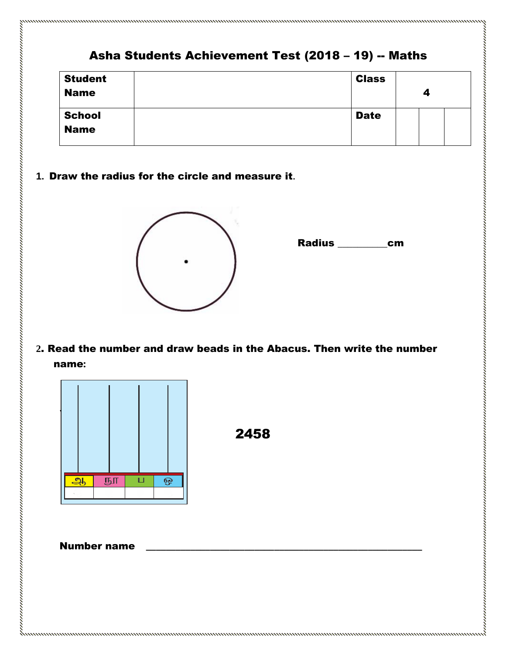## Asha Students Achievement Test (2018 – 19) -- Maths

| <b>Student</b><br><b>Name</b> | <b>Class</b> | 4 |  |  |
|-------------------------------|--------------|---|--|--|
| <b>School</b>                 | <b>Date</b>  |   |  |  |
| <b>Name</b>                   |              |   |  |  |

**1.** Draw the radius for the circle and measure it**.**

,,,,,,,,,,,,,,,,,,,,,,,,,,,,,,



Radius \_\_\_\_\_\_\_\_\_\_ cm

**2**. Read the number and draw beads in the Abacus. Then write the number name**:**



discussionaliteituminen automaan maailmaan maailmaan maailmaan maan maanaan maanaan maanaan maanaa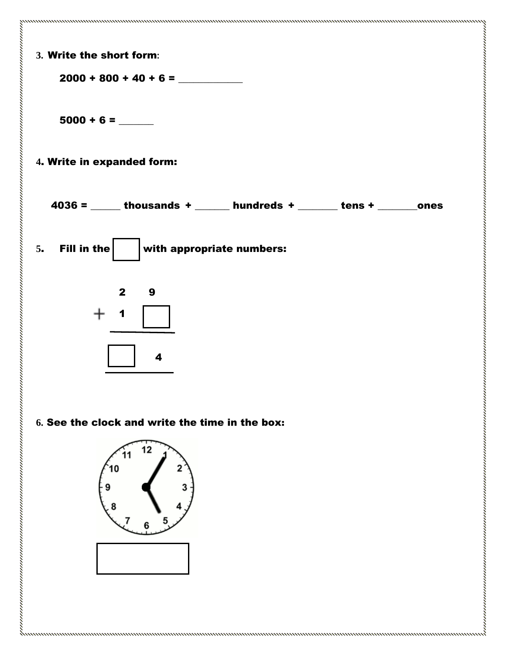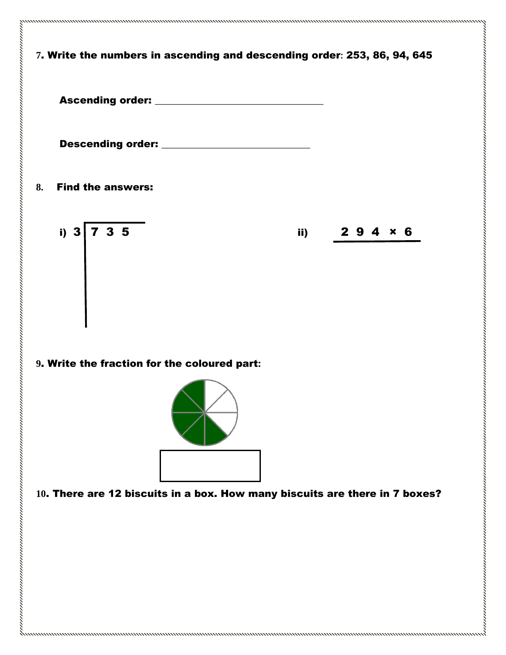